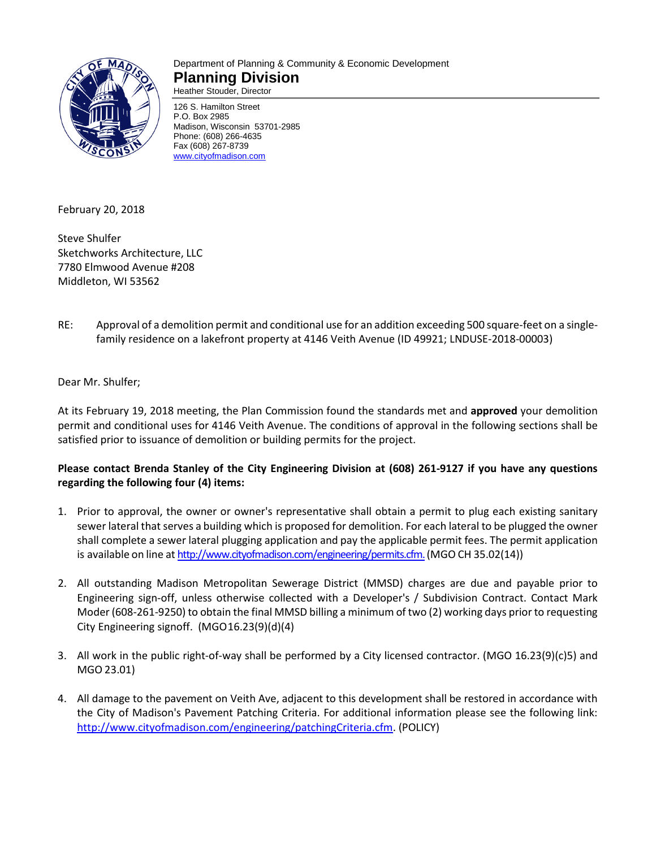

#### Department of Planning & Community & Economic Development **Planning Division** Heather Stouder, Director

126 S. Hamilton Street P.O. Box 2985 Madison, Wisconsin 53701-2985

Phone: (608) 266-4635 Fax (608) 267-8739 [www.cityofmadison.com](http://www.cityofmadison.com/)

February 20, 2018

Steve Shulfer Sketchworks Architecture, LLC 7780 Elmwood Avenue #208 Middleton, WI 53562

RE: Approval of a demolition permit and conditional use for an addition exceeding 500 square-feet on a singlefamily residence on a lakefront property at 4146 Veith Avenue (ID 49921; LNDUSE-2018-00003)

Dear Mr. Shulfer;

At its February 19, 2018 meeting, the Plan Commission found the standards met and **approved** your demolition permit and conditional uses for 4146 Veith Avenue. The conditions of approval in the following sections shall be satisfied prior to issuance of demolition or building permits for the project.

# **Please contact Brenda Stanley of the City Engineering Division at (608) 261-9127 if you have any questions regarding the following four (4) items:**

- 1. Prior to approval, the owner or owner's representative shall obtain a permit to plug each existing sanitary sewer lateral that serves a building which is proposed for demolition. For each lateral to be plugged the owner shall complete a sewer lateral plugging application and pay the applicable permit fees. The permit application is available on line at [http://www.cityofmadison.com/engineering/permits.cfm.\(](http://www.cityofmadison.com/engineering/permits.cfm.)MGO CH 35.02(14))
- 2. All outstanding Madison Metropolitan Sewerage District (MMSD) charges are due and payable prior to Engineering sign-off, unless otherwise collected with a Developer's / Subdivision Contract. Contact Mark Moder (608-261-9250) to obtain the final MMSD billing a minimum of two (2) working days prior to requesting City Engineering signoff. (MGO16.23(9)(d)(4)
- 3. All work in the public right-of-way shall be performed by a City licensed contractor. (MGO 16.23(9)(c)5) and MGO 23.01)
- 4. All damage to the pavement on Veith Ave, adjacent to this development shall be restored in accordance with the City of Madison's Pavement Patching Criteria. For additional information please see the following link: [http://www.cityofmadison.com/engineering/patchingCriteria.cfm.](http://www.cityofmadison.com/engineering/patchingCriteria.cfm) (POLICY)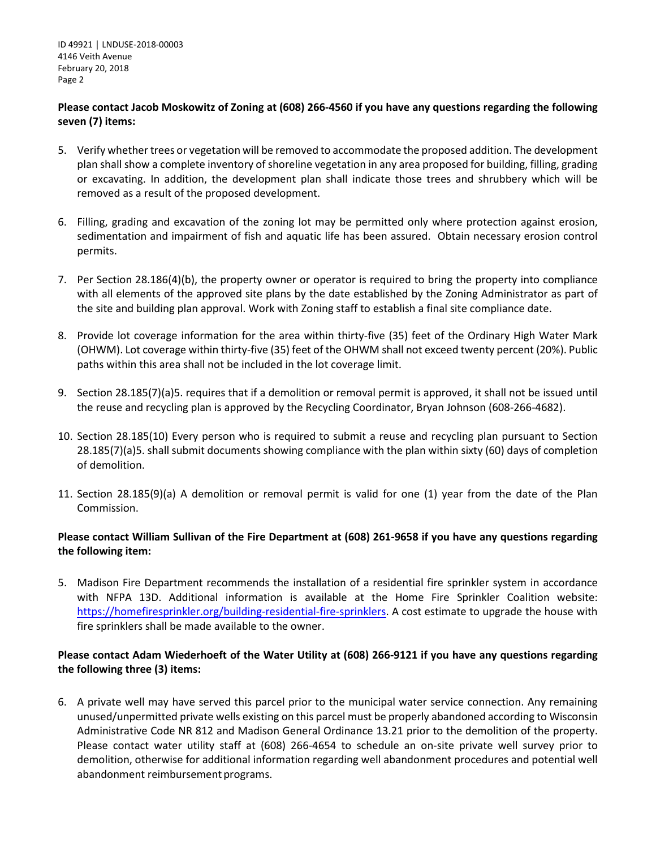ID 49921 │ LNDUSE-2018-00003 4146 Veith Avenue February 20, 2018 Page 2

## **Please contact Jacob Moskowitz of Zoning at (608) 266-4560 if you have any questions regarding the following seven (7) items:**

- 5. Verify whether trees or vegetation will be removed to accommodate the proposed addition. The development plan shall show a complete inventory of shoreline vegetation in any area proposed for building, filling, grading or excavating. In addition, the development plan shall indicate those trees and shrubbery which will be removed as a result of the proposed development.
- 6. Filling, grading and excavation of the zoning lot may be permitted only where protection against erosion, sedimentation and impairment of fish and aquatic life has been assured. Obtain necessary erosion control permits.
- 7. Per Section 28.186(4)(b), the property owner or operator is required to bring the property into compliance with all elements of the approved site plans by the date established by the Zoning Administrator as part of the site and building plan approval. Work with Zoning staff to establish a final site compliance date.
- 8. Provide lot coverage information for the area within thirty-five (35) feet of the Ordinary High Water Mark (OHWM). Lot coverage within thirty-five (35) feet of the OHWM shall not exceed twenty percent (20%). Public paths within this area shall not be included in the lot coverage limit.
- 9. Section 28.185(7)(a)5. requires that if a demolition or removal permit is approved, it shall not be issued until the reuse and recycling plan is approved by the Recycling Coordinator, Bryan Johnson (608-266-4682).
- 10. Section 28.185(10) Every person who is required to submit a reuse and recycling plan pursuant to Section 28.185(7)(a)5. shall submit documents showing compliance with the plan within sixty (60) days of completion of demolition.
- 11. Section 28.185(9)(a) A demolition or removal permit is valid for one (1) year from the date of the Plan Commission.

## **Please contact William Sullivan of the Fire Department at (608) 261-9658 if you have any questions regarding the following item:**

5. Madison Fire Department recommends the installation of a residential fire sprinkler system in accordance with NFPA 13D. Additional information is available at the Home Fire Sprinkler Coalition website: [https://homefiresprinkler.org/building-residential-fire-sprinklers.](https://homefiresprinkler.org/building-residential-fire-sprinklers) A cost estimate to upgrade the house with fire sprinklers shall be made available to the owner.

## **Please contact Adam Wiederhoeft of the Water Utility at (608) 266-9121 if you have any questions regarding the following three (3) items:**

6. A private well may have served this parcel prior to the municipal water service connection. Any remaining unused/unpermitted private wells existing on this parcel must be properly abandoned according to Wisconsin Administrative Code NR 812 and Madison General Ordinance 13.21 prior to the demolition of the property. Please contact water utility staff at (608) 266-4654 to schedule an on-site private well survey prior to demolition, otherwise for additional information regarding well abandonment procedures and potential well abandonment reimbursement programs.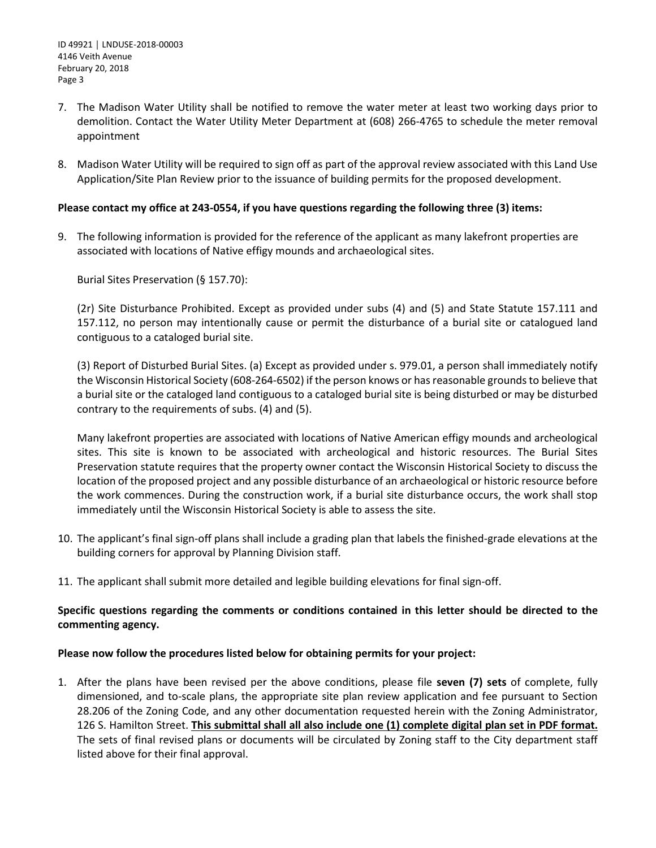- 7. The Madison Water Utility shall be notified to remove the water meter at least two working days prior to demolition. Contact the Water Utility Meter Department at (608) 266-4765 to schedule the meter removal appointment
- 8. Madison Water Utility will be required to sign off as part of the approval review associated with this Land Use Application/Site Plan Review prior to the issuance of building permits for the proposed development.

### **Please contact my office at 243-0554, if you have questions regarding the following three (3) items:**

9. The following information is provided for the reference of the applicant as many lakefront properties are associated with locations of Native effigy mounds and archaeological sites.

Burial Sites Preservation (§ 157.70):

(2r) Site Disturbance Prohibited. Except as provided under subs (4) and (5) and State Statute 157.111 and 157.112, no person may intentionally cause or permit the disturbance of a burial site or catalogued land contiguous to a cataloged burial site.

(3) Report of Disturbed Burial Sites. (a) Except as provided under s. 979.01, a person shall immediately notify the Wisconsin Historical Society (608-264-6502) if the person knows or has reasonable grounds to believe that a burial site or the cataloged land contiguous to a cataloged burial site is being disturbed or may be disturbed contrary to the requirements of subs. (4) and (5).

Many lakefront properties are associated with locations of Native American effigy mounds and archeological sites. This site is known to be associated with archeological and historic resources. The Burial Sites Preservation statute requires that the property owner contact the Wisconsin Historical Society to discuss the location of the proposed project and any possible disturbance of an archaeological or historic resource before the work commences. During the construction work, if a burial site disturbance occurs, the work shall stop immediately until the Wisconsin Historical Society is able to assess the site.

- 10. The applicant's final sign-off plans shall include a grading plan that labels the finished-grade elevations at the building corners for approval by Planning Division staff.
- 11. The applicant shall submit more detailed and legible building elevations for final sign-off.

## **Specific questions regarding the comments or conditions contained in this letter should be directed to the commenting agency.**

#### **Please now follow the procedures listed below for obtaining permits for your project:**

1. After the plans have been revised per the above conditions, please file **seven (7) sets** of complete, fully dimensioned, and to-scale plans, the appropriate site plan review application and fee pursuant to Section 28.206 of the Zoning Code, and any other documentation requested herein with the Zoning Administrator, 126 S. Hamilton Street. **This submittal shall all also include one (1) complete digital plan set in PDF format.** The sets of final revised plans or documents will be circulated by Zoning staff to the City department staff listed above for their final approval.